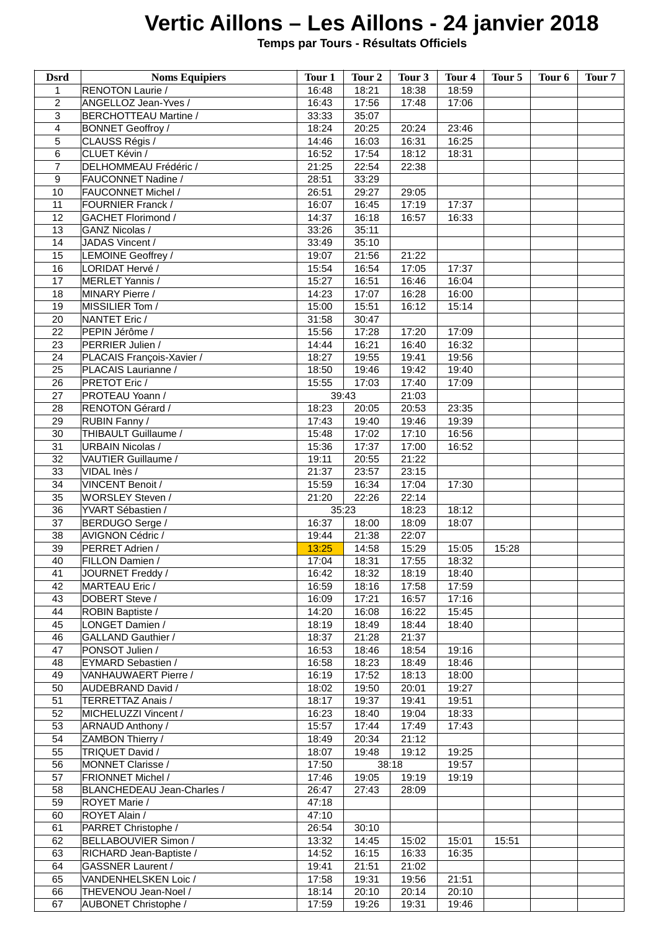## **Vertic Aillons – Les Aillons - 24 janvier 2018**

 **Temps par Tours - Résultats Officiels**

| <b>Dsrd</b>      | <b>Noms Equipiers</b>      | Tour 1 | Tour <sub>2</sub> | Tour 3 | Tour <sub>4</sub> | Tour 5 | Tour <sub>6</sub> | Tour <sub>7</sub> |
|------------------|----------------------------|--------|-------------------|--------|-------------------|--------|-------------------|-------------------|
|                  |                            | 16:48  |                   | 18:38  |                   |        |                   |                   |
| 1                | RENOTON Laurie /           |        | 18:21             |        | 18:59             |        |                   |                   |
| $\overline{2}$   | ANGELLOZ Jean-Yves /       | 16:43  | 17:56             | 17:48  | 17:06             |        |                   |                   |
| 3                | BERCHOTTEAU Martine /      | 33:33  | 35:07             |        |                   |        |                   |                   |
| 4                | <b>BONNET Geoffroy /</b>   | 18:24  | 20:25             | 20:24  | 23:46             |        |                   |                   |
| 5                | CLAUSS Régis /             | 14:46  | 16:03             | 16:31  | 16:25             |        |                   |                   |
| 6                | CLUET Kévin /              | 16:52  | 17:54             | 18:12  | 18:31             |        |                   |                   |
| 7                | DELHOMMEAU Frédéric /      | 21:25  | 22:54             | 22:38  |                   |        |                   |                   |
| $\boldsymbol{9}$ | FAUCONNET Nadine /         | 28:51  | 33:29             |        |                   |        |                   |                   |
| 10               | <b>FAUCONNET Michel /</b>  | 26:51  | 29:27             | 29:05  |                   |        |                   |                   |
| 11               | <b>FOURNIER Franck /</b>   | 16:07  | 16:45             | 17:19  | 17:37             |        |                   |                   |
| 12               | <b>GACHET Florimond /</b>  |        |                   | 16:57  | 16:33             |        |                   |                   |
|                  |                            | 14:37  | 16:18             |        |                   |        |                   |                   |
| 13               | <b>GANZ Nicolas /</b>      | 33:26  | 35:11             |        |                   |        |                   |                   |
| 14               | JADAS Vincent /            | 33:49  | 35:10             |        |                   |        |                   |                   |
| 15               | LEMOINE Geoffrey /         | 19:07  | 21:56             | 21:22  |                   |        |                   |                   |
| 16               | LORIDAT Hervé /            | 15:54  | 16:54             | 17:05  | 17:37             |        |                   |                   |
| 17               | MERLET Yannis /            | 15:27  | 16:51             | 16:46  | 16:04             |        |                   |                   |
| 18               | MINARY Pierre /            | 14:23  | 17:07             | 16:28  | 16:00             |        |                   |                   |
| 19               | MISSILIER Tom /            | 15:00  | 15:51             | 16:12  | 15:14             |        |                   |                   |
| 20               | NANTET Eric /              | 31:58  | 30:47             |        |                   |        |                   |                   |
| 22               | PEPIN Jérôme /             | 15:56  | 17:28             | 17:20  | 17:09             |        |                   |                   |
|                  |                            |        |                   |        |                   |        |                   |                   |
| 23               | PERRIER Julien /           | 14:44  | 16:21             | 16:40  | 16:32             |        |                   |                   |
| 24               | PLACAIS François-Xavier /  | 18:27  | 19:55             | 19:41  | 19:56             |        |                   |                   |
| 25               | PLACAIS Laurianne /        | 18:50  | 19:46             | 19:42  | 19:40             |        |                   |                   |
| 26               | PRETOT Eric /              | 15:55  | 17:03             | 17:40  | 17:09             |        |                   |                   |
| 27               | PROTEAU Yoann /            |        | 39:43             | 21:03  |                   |        |                   |                   |
| 28               | RENOTON Gérard /           | 18:23  | 20:05             | 20:53  | 23:35             |        |                   |                   |
| 29               | RUBIN Fanny /              | 17:43  | 19:40             | 19:46  | 19:39             |        |                   |                   |
| 30               | THIBAULT Guillaume /       | 15:48  | 17:02             | 17:10  | 16:56             |        |                   |                   |
|                  |                            |        |                   |        |                   |        |                   |                   |
| 31               | <b>URBAIN Nicolas /</b>    | 15:36  | 17:37             | 17:00  | 16:52             |        |                   |                   |
| 32               | VAUTIER Guillaume /        | 19:11  | 20:55             | 21:22  |                   |        |                   |                   |
| 33               | VIDAL Inès /               | 21:37  | 23:57             | 23:15  |                   |        |                   |                   |
| 34               | VINCENT Benoit /           | 15:59  | 16:34             | 17:04  | 17:30             |        |                   |                   |
| 35               | <b>WORSLEY Steven /</b>    | 21:20  | 22:26             | 22:14  |                   |        |                   |                   |
| 36               | YVART Sébastien /          |        | 35:23             | 18:23  | 18:12             |        |                   |                   |
| 37               | BERDUGO Serge /            | 16:37  | 18:00             | 18:09  | 18:07             |        |                   |                   |
| 38               | AVIGNON Cédric /           | 19:44  | 21:38             | 22:07  |                   |        |                   |                   |
| 39               | PERRET Adrien /            | 13:25  | 14:58             | 15:29  | 15:05             | 15:28  |                   |                   |
|                  |                            |        |                   |        |                   |        |                   |                   |
| 40               | FILLON Damien /            | 17:04  | 18:31             | 17:55  | 18:32             |        |                   |                   |
| 41               | JOURNET Freddy /           | 16:42  | 18:32             | 18:19  | 18:40             |        |                   |                   |
| 42               | MARTEAU Eric /             | 16:59  | 18:16             | 17:58  | 17:59             |        |                   |                   |
| 43               | DOBERT Steve /             | 16:09  | 17:21             | 16:57  | 17:16             |        |                   |                   |
| 44               | ROBIN Baptiste /           | 14:20  | 16:08             | 16:22  | 15:45             |        |                   |                   |
| 45               | LONGET Damien /            | 18:19  | 18:49             | 18:44  | 18:40             |        |                   |                   |
| 46               | <b>GALLAND Gauthier /</b>  | 18:37  | 21:28             | 21:37  |                   |        |                   |                   |
| 47               | PONSOT Julien /            | 16:53  | 18:46             | 18:54  | 19:16             |        |                   |                   |
| 48               | <b>EYMARD Sebastien /</b>  | 16:58  | 18:23             | 18:49  | 18:46             |        |                   |                   |
| 49               | VANHAUWAERT Pierre /       | 16:19  | 17:52             | 18:13  | 18:00             |        |                   |                   |
|                  |                            |        |                   |        |                   |        |                   |                   |
| 50               | AUDEBRAND David /          | 18:02  | 19:50             | 20:01  | 19:27             |        |                   |                   |
| 51               | TERRETTAZ Anais /          | 18:17  | 19:37             | 19:41  | 19:51             |        |                   |                   |
| 52               | MICHELUZZI Vincent /       | 16:23  | 18:40             | 19:04  | 18:33             |        |                   |                   |
| 53               | ARNAUD Anthony /           | 15:57  | 17:44             | 17:49  | 17:43             |        |                   |                   |
| 54               | ZAMBON Thierry /           | 18:49  | 20:34             | 21:12  |                   |        |                   |                   |
| 55               | TRIQUET David /            | 18:07  | 19:48             | 19:12  | 19:25             |        |                   |                   |
| 56               | MONNET Clarisse /          | 17:50  |                   | 38:18  | 19:57             |        |                   |                   |
| 57               | <b>FRIONNET Michel /</b>   | 17:46  | 19:05             | 19:19  | 19:19             |        |                   |                   |
| 58               | BLANCHEDEAU Jean-Charles / | 26:47  | 27:43             |        |                   |        |                   |                   |
|                  |                            |        |                   | 28:09  |                   |        |                   |                   |
| 59               | ROYET Marie /              | 47:18  |                   |        |                   |        |                   |                   |
| 60               | ROYET Alain /              | 47:10  |                   |        |                   |        |                   |                   |
| 61               | PARRET Christophe /        | 26:54  | 30:10             |        |                   |        |                   |                   |
| 62               | BELLABOUVIER Simon /       | 13:32  | 14:45             | 15:02  | 15:01             | 15:51  |                   |                   |
| 63               | RICHARD Jean-Baptiste /    | 14:52  | 16:15             | 16:33  | 16:35             |        |                   |                   |
| 64               | <b>GASSNER Laurent /</b>   | 19:41  | 21:51             | 21:02  |                   |        |                   |                   |
| 65               | VANDENHELSKEN Loic /       | 17:58  | 19:31             | 19:56  | 21:51             |        |                   |                   |
| 66               | THEVENOU Jean-Noel /       | 18:14  | 20:10             | 20:14  | 20:10             |        |                   |                   |
| 67               |                            |        |                   |        |                   |        |                   |                   |
|                  | AUBONET Christophe /       | 17:59  | 19:26             | 19:31  | 19:46             |        |                   |                   |